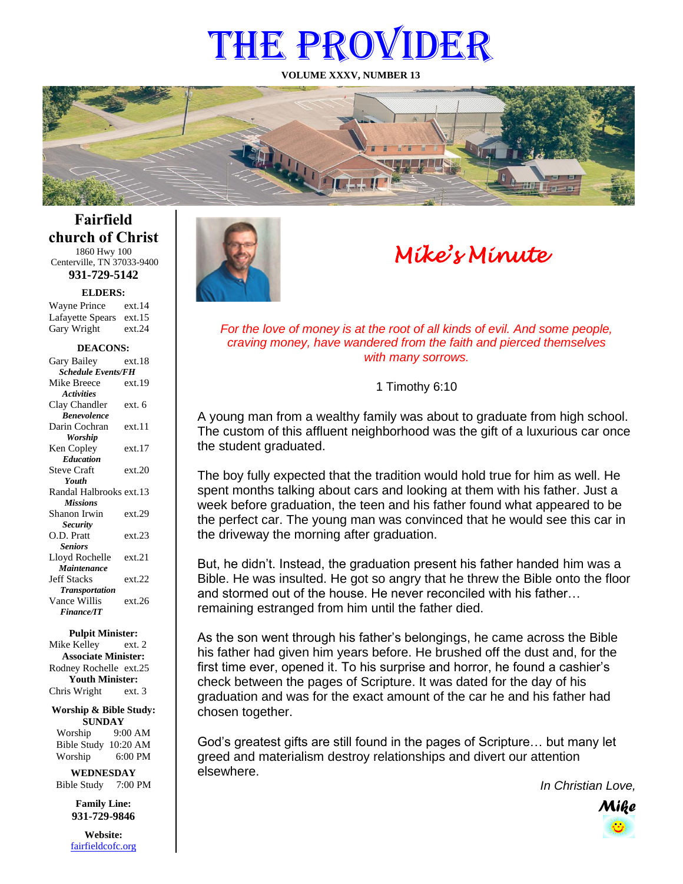# THE PROVIDER

**VOLUME XXXV, NUMBER 13**



**Fairfield church of Christ** 1860 Hwy 100

Centerville, TN 37033-9400 **931-729-5142**

**ELDERS:**

Gary Wright ext.24 Wayne Prince ext.14 Lafayette Spears ext.15

#### **DEACONS:**

| Gary Bailey               | ext 18 |
|---------------------------|--------|
| <b>Schedule Events/FH</b> |        |
| Mike Breece               | ext.19 |
| <b>Activities</b>         |        |
| Clay Chandler             | ext. 6 |
| <b>Benevolence</b>        |        |
| Darin Cochran             | ext.11 |
| Worship                   |        |
| Ken Copley                | ext.17 |
| <b>Education</b>          |        |
| <b>Steve Craft</b>        | ext.20 |
| Youth                     |        |
| Randal Halbrooks ext.13   |        |
| <b>Missions</b>           |        |
| Shanon Irwin              | ext.29 |
| <b>Security</b>           |        |
| O.D. Pratt                | ext.23 |
| <b>Seniors</b>            |        |
| Lloyd Rochelle            | ext.21 |
| Maintenance               |        |
| <b>Jeff Stacks</b>        | ext.22 |
| <b>Transportation</b>     |        |
| Vance Willis              | ext.26 |
| <b>Finance/IT</b>         |        |

#### **Pulpit Minister:**

Mike Kelley ext. 2 **Associate Minister:** Rodney Rochelle ext.25 **Youth Minister:** Chris Wright ext. 3

#### **Worship & Bible Study: SUNDAY**

Worship 9:00 AM Bible Study 10:20 AM Worship 6:00 PM **WEDNESDAY**

Bible Study 7:00 PM

**Family Line: 931-729-9846**

**Website:** [fairfieldcofc.org](file:///C:/Users/RickJoyce/Documents/Fairfield%20Website%20Files/fairfieldchurchofchrist.org)



## *Mike's Minute*

*For the love of money is at the root of all kinds of evil. And some people, craving money, have wandered from the faith and pierced themselves with many sorrows.*

1 Timothy 6:10

A young man from a wealthy family was about to graduate from high school. The custom of this affluent neighborhood was the gift of a luxurious car once the student graduated.

The boy fully expected that the tradition would hold true for him as well. He spent months talking about cars and looking at them with his father. Just a week before graduation, the teen and his father found what appeared to be the perfect car. The young man was convinced that he would see this car in the driveway the morning after graduation.

But, he didn't. Instead, the graduation present his father handed him was a Bible. He was insulted. He got so angry that he threw the Bible onto the floor and stormed out of the house. He never reconciled with his father… remaining estranged from him until the father died.

As the son went through his father's belongings, he came across the Bible his father had given him years before. He brushed off the dust and, for the first time ever, opened it. To his surprise and horror, he found a cashier's check between the pages of Scripture. It was dated for the day of his graduation and was for the exact amount of the car he and his father had chosen together.

God's greatest gifts are still found in the pages of Scripture… but many let greed and materialism destroy relationships and divert our attention elsewhere.

*In Christian Love,*

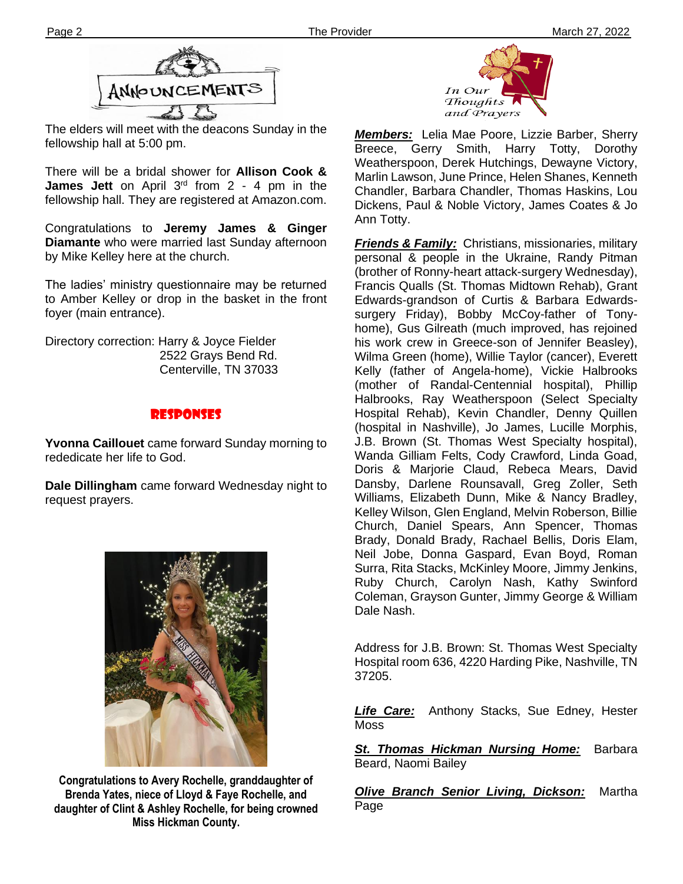

The elders will meet with the deacons Sunday in the fellowship hall at 5:00 pm.

There will be a bridal shower for **Allison Cook &**  James Jett on April 3<sup>rd</sup> from 2 - 4 pm in the fellowship hall. They are registered at Amazon.com.

**Ther** Congratulations to **Jeremy James & Ginger Diamante** who were married last Sunday afternoon by Mike Kelley here at the church.

The ladies' ministry questionnaire may be returned to Amber Kelley or drop in the basket in the front foyer (main entrance).

Directory correction: Harry & Joyce Fielder 2522 Grays Bend Rd. Centerville, TN 37033

## responses

**Yvonna Caillouet** came forward Sunday morning to rededicate her life to God.

**Dale Dillingham** came forward Wednesday night to request prayers.



**Congratulations to Avery Rochelle, granddaughter of Brenda Yates, niece of Lloyd & Faye Rochelle, and daughter of Clint & Ashley Rochelle, for being crowned Miss Hickman County.**



*Members:* Lelia Mae Poore, Lizzie Barber, Sherry Breece, Gerry Smith, Harry Totty, Dorothy Weatherspoon, Derek Hutchings, Dewayne Victory, Marlin Lawson, June Prince, Helen Shanes, Kenneth Chandler, Barbara Chandler, Thomas Haskins, Lou Dickens, Paul & Noble Victory, James Coates & Jo Ann Totty.

*Friends & Family:* Christians, missionaries, military personal & people in the Ukraine, Randy Pitman (brother of Ronny-heart attack-surgery Wednesday), Francis Qualls (St. Thomas Midtown Rehab), Grant Edwards-grandson of Curtis & Barbara Edwardssurgery Friday), Bobby McCoy-father of Tonyhome), Gus Gilreath (much improved, has rejoined his work crew in Greece-son of Jennifer Beasley), Wilma Green (home), Willie Taylor (cancer), Everett Kelly (father of Angela-home), Vickie Halbrooks (mother of Randal-Centennial hospital), Phillip Halbrooks, Ray Weatherspoon (Select Specialty Hospital Rehab), Kevin Chandler, Denny Quillen (hospital in Nashville), Jo James, Lucille Morphis, J.B. Brown (St. Thomas West Specialty hospital), Wanda Gilliam Felts, Cody Crawford, Linda Goad, Doris & Marjorie Claud, Rebeca Mears, David Dansby, Darlene Rounsavall, Greg Zoller, Seth Williams, Elizabeth Dunn, Mike & Nancy Bradley, Kelley Wilson, Glen England, Melvin Roberson, Billie Church, Daniel Spears, Ann Spencer, Thomas Brady, Donald Brady, Rachael Bellis, Doris Elam, Neil Jobe, Donna Gaspard, Evan Boyd, Roman Surra, Rita Stacks, McKinley Moore, Jimmy Jenkins, Ruby Church, Carolyn Nash, Kathy Swinford Coleman, Grayson Gunter, Jimmy George & William Dale Nash.

Address for J.B. Brown: St. Thomas West Specialty Hospital room 636, 4220 Harding Pike, Nashville, TN 37205.

*Life Care:* Anthony Stacks, Sue Edney, Hester Moss

**St. Thomas Hickman Nursing Home:** Barbara Beard, Naomi Bailey

*Olive Branch Senior Living, Dickson:* Martha Page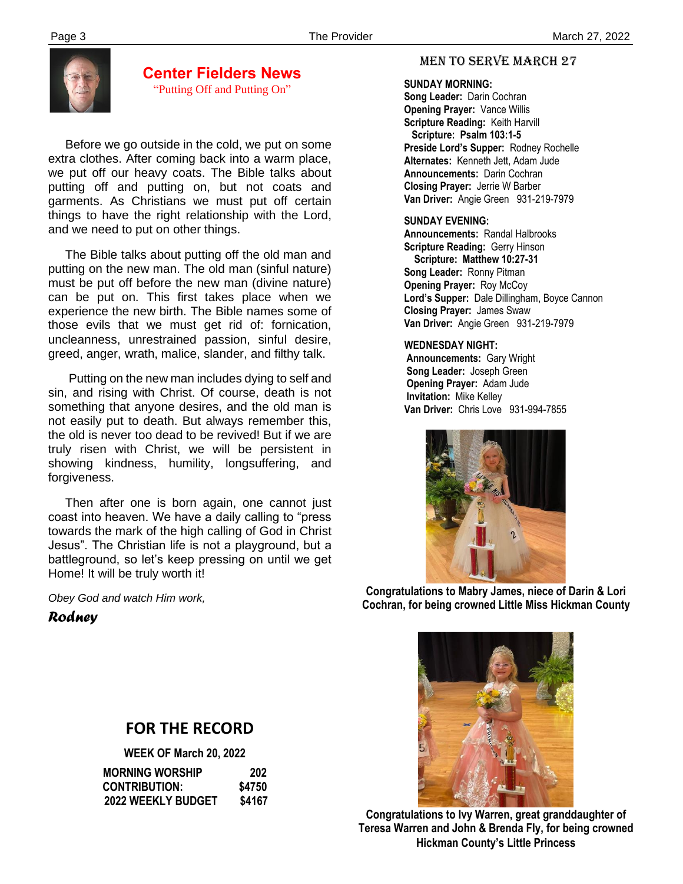

**Center Fielders News** "Putting Off and Putting On"

 Before we go outside in the cold, we put on some extra clothes. After coming back into a warm place, we put off our heavy coats. The Bible talks about putting off and putting on, but not coats and garments. As Christians we must put off certain things to have the right relationship with the Lord, and we need to put on other things.

 The Bible talks about putting off the old man and putting on the new man. The old man (sinful nature) must be put off before the new man (divine nature) can be put on. This first takes place when we experience the new birth. The Bible names some of those evils that we must get rid of: fornication, uncleanness, unrestrained passion, sinful desire, greed, anger, wrath, malice, slander, and filthy talk.

 Putting on the new man includes dying to self and sin, and rising with Christ. Of course, death is not something that anyone desires, and the old man is not easily put to death. But always remember this, the old is never too dead to be revived! But if we are truly risen with Christ, we will be persistent in showing kindness, humility, longsuffering, and forgiveness.

 Then after one is born again, one cannot just coast into heaven. We have a daily calling to "press towards the mark of the high calling of God in Christ Jesus". The Christian life is not a playground, but a battleground, so let's keep pressing on until we get Home! It will be truly worth it!

*Obey God and watch Him work,*

## *Rodney*

## MEN TO SERVE march 27

 **SUNDAY MORNING:**

**Song Leader:** Darin Cochran  **Opening Prayer:** Vance Willis **Scripture Reading:** Keith Harvill  **Scripture: Psalm 103:1-5 Preside Lord's Supper:** Rodney Rochelle  **Alternates:** Kenneth Jett, Adam Jude  **Announcements:** Darin Cochran  **Closing Prayer:** Jerrie W Barber **Van Driver:** Angie Green 931-219-7979

#### **SUNDAY EVENING:**

**Announcements:** Randal Halbrooks **Scripture Reading:** Gerry Hinson  **Scripture: Matthew 10:27-31 Song Leader:** Ronny Pitman **Opening Prayer:** Roy McCoy **Lord's Supper:** Dale Dillingham, Boyce Cannon **Closing Prayer:** James Swaw **Van Driver:** Angie Green 931-219-7979

#### **WEDNESDAY NIGHT:**

**Announcements:** Gary Wright **Song Leader:** Joseph Green **Opening Prayer:** Adam Jude **Invitation:** Mike Kelley  **Van Driver:** Chris Love 931-994-7855



**Congratulations to Mabry James, niece of Darin & Lori Cochran, for being crowned Little Miss Hickman County**



**Congratulations to Ivy Warren, great granddaughter of Teresa Warren and John & Brenda Fly, for being crowned Hickman County's Little Princess**

## **FOR THE RECORD**

**WEEK OF March 20, 2022 MORNING WORSHIP 202 CONTRIBUTION: \$4750 2022 WEEKLY BUDGET \$4167**